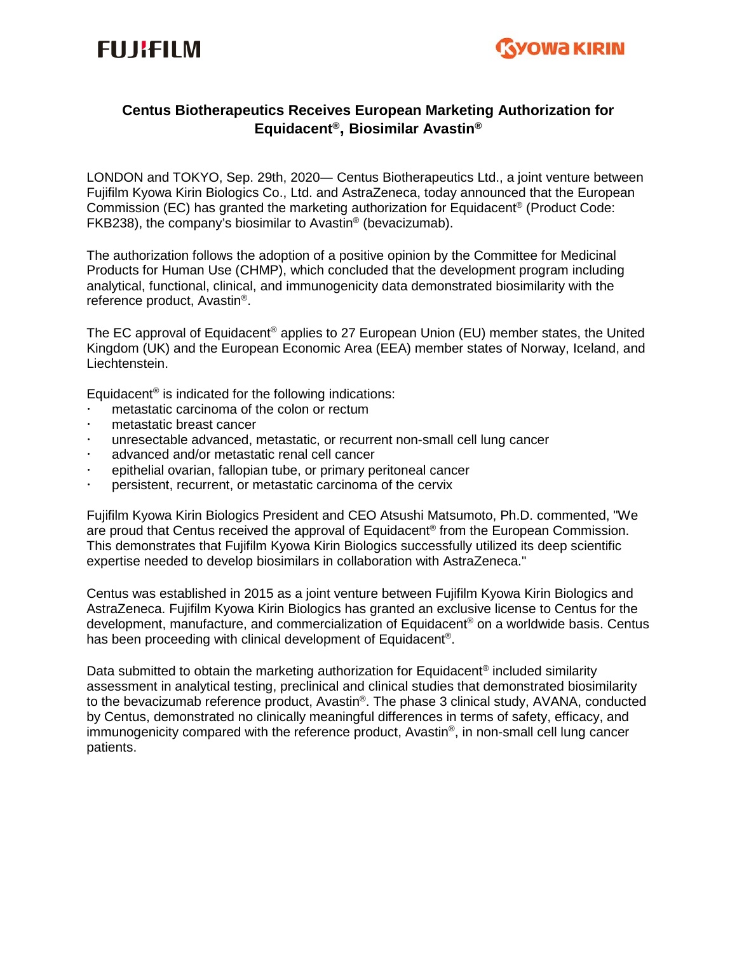



# **Centus Biotherapeutics Receives European Marketing Authorization for Equidacent®, Biosimilar Avastin®**

LONDON and TOKYO, Sep. 29th, 2020― Centus Biotherapeutics Ltd., a joint venture between Fujifilm Kyowa Kirin Biologics Co., Ltd. and AstraZeneca, today announced that the European Commission (EC) has granted the marketing authorization for Equidacent® (Product Code: FKB238), the company's biosimilar to Avastin® (bevacizumab).

The authorization follows the adoption of a positive opinion by the Committee for Medicinal Products for Human Use (CHMP), which concluded that the development program including analytical, functional, clinical, and immunogenicity data demonstrated biosimilarity with the reference product, Avastin®.

The EC approval of Equidacent<sup>®</sup> applies to 27 European Union (EU) member states, the United Kingdom (UK) and the European Economic Area (EEA) member states of Norway, Iceland, and Liechtenstein.

Equidacent® is indicated for the following indications:

- metastatic carcinoma of the colon or rectum
- metastatic breast cancer
- unresectable advanced, metastatic, or recurrent non-small cell lung cancer
- advanced and/or metastatic renal cell cancer
- epithelial ovarian, fallopian tube, or primary peritoneal cancer
- persistent, recurrent, or metastatic carcinoma of the cervix

Fujifilm Kyowa Kirin Biologics President and CEO Atsushi Matsumoto, Ph.D. commented, "We are proud that Centus received the approval of Equidacent<sup>®</sup> from the European Commission. This demonstrates that Fujifilm Kyowa Kirin Biologics successfully utilized its deep scientific expertise needed to develop biosimilars in collaboration with AstraZeneca."

Centus was established in 2015 as a joint venture between Fujifilm Kyowa Kirin Biologics and AstraZeneca. Fujifilm Kyowa Kirin Biologics has granted an exclusive license to Centus for the development, manufacture, and commercialization of Equidacent® on a worldwide basis. Centus has been proceeding with clinical development of Equidacent<sup>®</sup>.

Data submitted to obtain the marketing authorization for Equidacent<sup>®</sup> included similarity assessment in analytical testing, preclinical and clinical studies that demonstrated biosimilarity to the bevacizumab reference product, Avastin®. The phase 3 clinical study, AVANA, conducted by Centus, demonstrated no clinically meaningful differences in terms of safety, efficacy, and immunogenicity compared with the reference product, Avastin®, in non-small cell lung cancer patients.